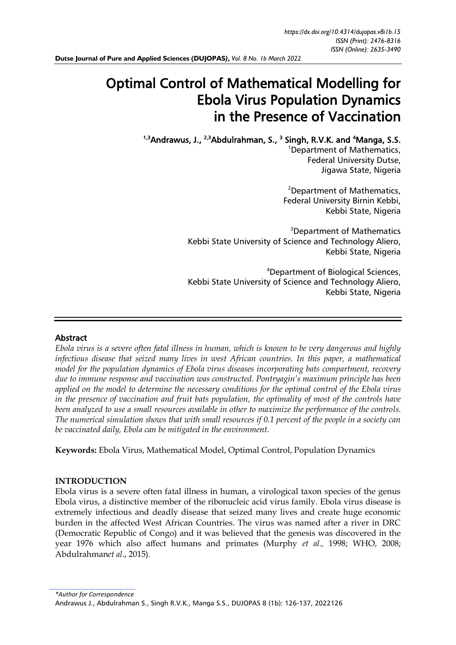# Optimal Control of Mathematical Modelling for Ebola Virus Population Dynamics in the Presence of Vaccination

<sup>1,3</sup>Andrawus, J., <sup>2,3</sup>Abdulrahman, S., <sup>3</sup> Singh, R.V.K. and <sup>4</sup>Manga, S.S.

<sup>1</sup>Department of Mathematics, Federal University Dutse, Jigawa State, Nigeria

<sup>2</sup>Department of Mathematics, Federal University Birnin Kebbi, Kebbi State, Nigeria

<sup>3</sup>Department of Mathematics Kebbi State University of Science and Technology Aliero, Kebbi State, Nigeria

<sup>4</sup>Department of Biological Sciences, Kebbi State University of Science and Technology Aliero, Kebbi State, Nigeria

# Abstract

*Ebola virus is a severe often fatal illness in human, which is known to be very dangerous and highly infectious disease that seized many lives in west African countries. In this paper, a mathematical model for the population dynamics of Ebola virus diseases incorporating bats compartment, recovery due to immune response and vaccination was constructed. Pontryagin's maximum principle has been applied on the model to determine the necessary conditions for the optimal control of the Ebola virus in the presence of vaccination and fruit bats population, the optimality of most of the controls have been analyzed to use a small resources available in other to maximize the performance of the controls. The numerical simulation shows that with small resources if 0.1 percent of the people in a society can be vaccinated daily, Ebola can be mitigated in the environment.*

**Keywords:** Ebola Virus, Mathematical Model, Optimal Control, Population Dynamics

#### **INTRODUCTION**

Ebola virus is a severe often fatal illness in human, a virological taxon species of the genus Ebola virus, a distinctive member of the ribonucleic acid virus family. Ebola virus disease is extremely infectious and deadly disease that seized many lives and create huge economic burden in the affected West African Countries. The virus was named after a river in DRC (Democratic Republic of Congo) and it was believed that the genesis was discovered in the year 1976 which also affect humans and primates (Murphy *et al.,* 1998; WHO, 2008; Abdulrahman*et al*., 2015).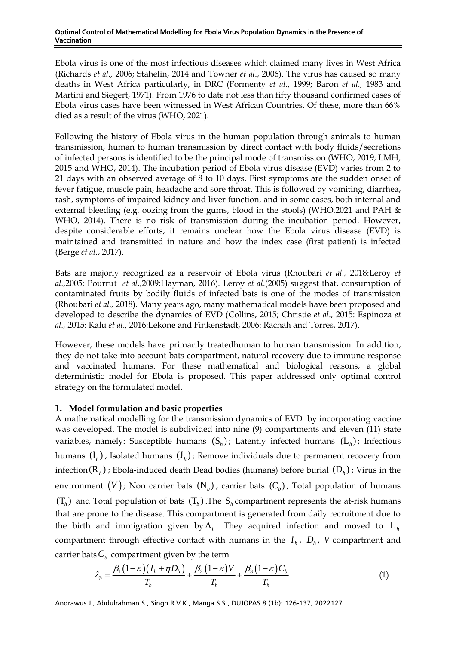Ebola virus is one of the most infectious diseases which claimed many lives in West Africa (Richards *et al.,* 2006; Stahelin, 2014 and Towner *et al*., 2006). The virus has caused so many deaths in West Africa particularly, in DRC (Formenty *et al*., 1999; Baron *et al.,* 1983 and Martini and Siegert, 1971). From 1976 to date not less than fifty thousand confirmed cases of Ebola virus cases have been witnessed in West African Countries. Of these, more than 66% died as a result of the virus (WHO, 2021).

Following the history of Ebola virus in the human population through animals to human transmission, human to human transmission by direct contact with body fluids/secretions of infected persons is identified to be the principal mode of transmission (WHO, 2019; LMH, 2015 and WHO, 2014). The incubation period of Ebola virus disease (EVD) varies from 2 to 21 days with an observed average of 8 to 10 days. First symptoms are the sudden onset of fever fatigue, muscle pain, headache and sore throat. This is followed by vomiting, diarrhea, rash, symptoms of impaired kidney and liver function, and in some cases, both internal and external bleeding (e.g. oozing from the gums, blood in the stools) (WHO,2021 and PAH & WHO, 2014). There is no risk of transmission during the incubation period. However, despite considerable efforts, it remains unclear how the Ebola virus disease (EVD) is maintained and transmitted in nature and how the index case (first patient) is infected (Berge *et al.*, 2017).

Bats are majorly recognized as a reservoir of Ebola virus (Rhoubari *et al.,* 2018:Leroy *et al.,*2005: Pourrut *et al.,*2009:Hayman, 2016). Leroy *et al*.(2005) suggest that, consumption of contaminated fruits by bodily fluids of infected bats is one of the modes of transmission (Rhoubari *et al.,* 2018). Many years ago, many mathematical models have been proposed and developed to describe the dynamics of EVD (Collins, 2015; Christie *et al.,* 2015: Espinoza *et al.,* 2015: Kalu *et al.,* 2016:Lekone and Finkenstadt, 2006: Rachah and Torres, 2017).

However, these models have primarily treatedhuman to human transmission. In addition, they do not take into account bats compartment, natural recovery due to immune response and vaccinated humans. For these mathematical and biological reasons, a global deterministic model for Ebola is proposed. This paper addressed only optimal control strategy on the formulated model.

# **1. Model formulation and basic properties**

A mathematical modelling for the transmission dynamics of EVD by incorporating vaccine was developed. The model is subdivided into nine (9) compartments and eleven (11) state variables, namely: Susceptible humans  $(S_h)$ ; Latently infected humans  $(L_h)$ ; Infectious humans  $(I_h)$ ; Isolated humans  $(J_h)$ ; Remove individuals due to permanent recovery from infection(R<sub>h</sub>); Ebola-induced death Dead bodies (humans) before burial (D<sub>h</sub>); Virus in the environment  $(V)$ ; Non carrier bats  $(N_b)$ ; carrier bats  $(C_b)$ ; Total population of humans  $(T_h)$  and Total population of bats  $(T_h)$ . The  $S_h$  compartment represents the at-risk humans that are prone to the disease. This compartment is generated from daily recruitment due to the birth and immigration given by  $\Lambda_h$ . They acquired infection and moved to  $L_h$ compartment through effective contact with humans in the  $I_h$ ,  $D_h$ , V compartment and carrier bats  $C_b$  compartment given by the term

$$
\lambda_h = \frac{\beta_1 (1 - \varepsilon)(I_h + \eta D_h)}{T_h} + \frac{\beta_2 (1 - \varepsilon)V}{T_h} + \frac{\beta_3 (1 - \varepsilon)C_h}{T_h} \tag{1}
$$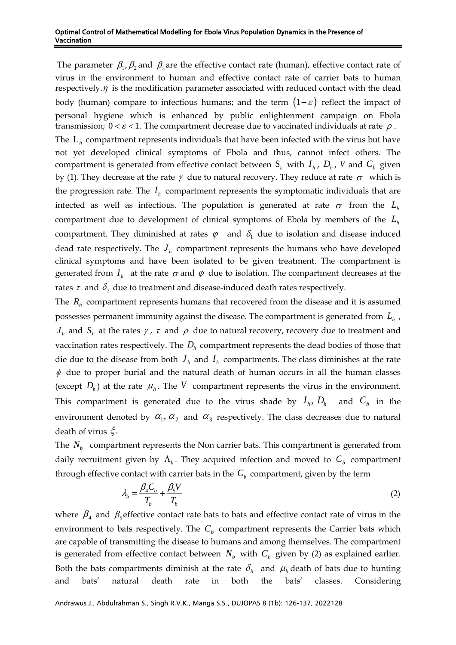The parameter  $\beta_1$ ,  $\beta_2$  and  $\beta_3$  are the effective contact rate (human), effective contact rate of virus in the environment to human and effective contact rate of carrier bats to human respectively.  $\eta$  is the modification parameter associated with reduced contact with the dead body (human) compare to infectious humans; and the term  $(1 - \varepsilon)$  reflect the impact of personal hygiene which is enhanced by public enlightenment campaign on Ebola transmission;  $0 < \varepsilon < 1$ . The compartment decrease due to vaccinated individuals at rate  $\rho$ . The L*<sup>h</sup>* compartment represents individuals that have been infected with the virus but have not yet developed clinical symptoms of Ebola and thus, cannot infect others. The compartment is generated from effective contact between  $S_h$  with  $I_h$ ,  $D_h$ ,  $V$  and  $C_b$  given by (1). They decrease at the rate  $\gamma$  due to natural recovery. They reduce at rate  $\sigma$  which is the progression rate. The  $I_h$  compartment represents the symptomatic individuals that are infected as well as infectious. The population is generated at rate  $\sigma$  from the  $L_h$ compartment due to development of clinical symptoms of Ebola by members of the *Lh* compartment. They diminished at rates  $\varphi$  and  $\delta_1$  due to isolation and disease induced dead rate respectively. The *h J* compartment represents the humans who have developed clinical symptoms and have been isolated to be given treatment. The compartment is generated from  $I_{\scriptscriptstyle h}$  at the rate  $\sigma$  and  $\varphi$  due to isolation. The compartment decreases at the rates  $\tau$  and  $\delta_{\scriptscriptstyle 2}$  due to treatment and disease-induced death rates respectively.

The *Rh* compartment represents humans that recovered from the disease and it is assumed possesses permanent immunity against the disease. The compartment is generated from *Lh* ,  $J_h$  and  $S_h$  at the rates  $\gamma$ ,  $\tau$  and  $\rho$  due to natural recovery, recovery due to treatment and vaccination rates respectively. The  $D_h$  compartment represents the dead bodies of those that die due to the disease from both  $J_h$  and  $I_h$  compartments. The class diminishes at the rate  $\phi$  due to proper burial and the natural death of human occurs in all the human classes (except  $D_h$ ) at the rate  $\mu_h$ . The V compartment represents the virus in the environment. This compartment is generated due to the virus shade by  $I_h$ ,  $D_h$  and  $C_b$  in the environment denoted by  $\alpha_1, \alpha_2$  and  $\alpha_3$  respectively. The class decreases due to natural death of virus  $\xi$ .

The  $N_b$  compartment represents the Non carrier bats. This compartment is generated from daily recruitment given by  $\Lambda_b$ . They acquired infection and moved to  $C_b$  compartment through effective contact with carrier bats in the  $C<sub>b</sub>$  compartment, given by the term

$$
\lambda_b = \frac{\beta_4 C_b}{T_b} + \frac{\beta_5 V}{T_b} \tag{2}
$$

where  $\beta_4$  and  $\beta_5$  effective contact rate bats to bats and effective contact rate of virus in the environment to bats respectively. The  $C<sub>b</sub>$  compartment represents the Carrier bats which are capable of transmitting the disease to humans and among themselves. The compartment is generated from effective contact between  $N_b$  with  $C_b$  given by (2) as explained earlier. Both the bats compartments diminish at the rate  $\delta_b$  and  $\mu_b$  death of bats due to hunting and bats' natural death rate in both the bats' classes. Considering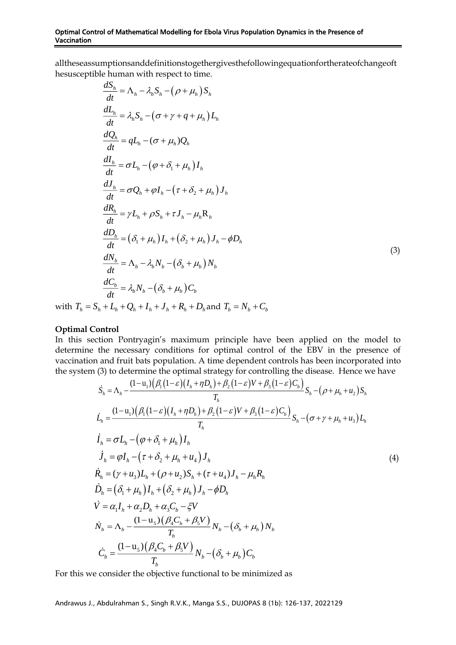alltheseassumptionsanddefinitionstogethergivesthefollowingequationfortherateofchangeoft hesusceptible human with respect to time.

$$
\frac{dS_h}{dt} = \Lambda_h - \lambda_h S_h - (\rho + \mu_h) S_h
$$
\n
$$
\frac{dL_h}{dt} = \lambda_h S_h - (\sigma + \gamma + q + \mu_h) L_h
$$
\n
$$
\frac{dQ_h}{dt} = qL_h - (\sigma + \mu_h) Q_h
$$
\n
$$
\frac{dI_h}{dt} = \sigma L_h - (\varphi + \delta_1 + \mu_h) I_h
$$
\n
$$
\frac{dI_h}{dt} = \sigma Q_h + \varphi I_h - (\tau + \delta_2 + \mu_h) J_h
$$
\n
$$
\frac{dR_h}{dt} = \gamma L_h + \rho S_h + \tau J_h - \mu_h R_h
$$
\n
$$
\frac{dD_h}{dt} = (\delta_1 + \mu_h) I_h + (\delta_2 + \mu_h) J_h - \varphi D_h
$$
\n
$$
\frac{dN_b}{dt} = \Lambda_b - \lambda_b N_b - (\delta_b + \mu_b) N_b
$$
\n
$$
\frac{dC_b}{dt} = \lambda_b N_b - (\delta_b + \mu_h) C_b
$$
\nwith  $T_h = S_h + L_h + Q_h + I_h + I_h + R_h + D_h$  and  $T_b = N_b + C_b$ 

#### **Optimal Control**

In this section Pontryagin's maximum principle have been applied on the model to determine the necessary conditions for optimal control of the EBV in the presence of vaccination and fruit bats population. A time dependent controls has been incorporated into the system (3) to determine the optimal strategy for controlling the disease. Hence we have

$$
\dot{S}_{h} = \Lambda_{h} - \frac{(1 - u_{1})(\beta_{1}(1 - \varepsilon)(I_{h} + \eta D_{h}) + \beta_{2}(1 - \varepsilon)V + \beta_{3}(1 - \varepsilon)C_{b})}{T_{h}}S_{h} - (\rho + \mu_{h} + u_{2})S_{h}
$$
\n
$$
\dot{L}_{h} = \frac{(1 - u_{1})(\beta_{1}(1 - \varepsilon)(I_{h} + \eta D_{h}) + \beta_{2}(1 - \varepsilon)V + \beta_{3}(1 - \varepsilon)C_{b})}{T_{h}}
$$
\n
$$
\dot{I}_{h} = \sigma L_{h} - (\varphi + \delta_{1} + \mu_{h})I_{h}
$$
\n
$$
\dot{J}_{h} = \varphi I_{h} - (\tau + \delta_{2} + \mu_{h} + u_{4})J_{h}
$$
\n
$$
\dot{R}_{h} = (\gamma + u_{3})L_{h} + (\rho + u_{2})S_{h} + (\tau + u_{4})J_{h} - \mu_{h}R_{h}
$$
\n
$$
\dot{D}_{h} = (\delta_{1} + \mu_{h})I_{h} + (\delta_{2} + \mu_{h})J_{h} - \phi D_{h}
$$
\n
$$
\dot{V} = \alpha_{1}I_{h} + \alpha_{2}D_{h} + \alpha_{3}C_{b} - \xi V
$$
\n
$$
\dot{N}_{b} = \Lambda_{b} - \frac{(1 - u_{3})(\beta_{4}C_{b} + \beta_{5}V)}{T_{b}}N_{b} - (\delta_{b} + \mu_{b})N_{b}
$$
\n
$$
\dot{C}_{b} = \frac{(1 - u_{5})(\beta_{4}C_{b} + \beta_{5}V)}{T_{b}}N_{b} - (\delta_{b} + \mu_{b})C_{b}
$$

For this we consider the objective functional to be minimized as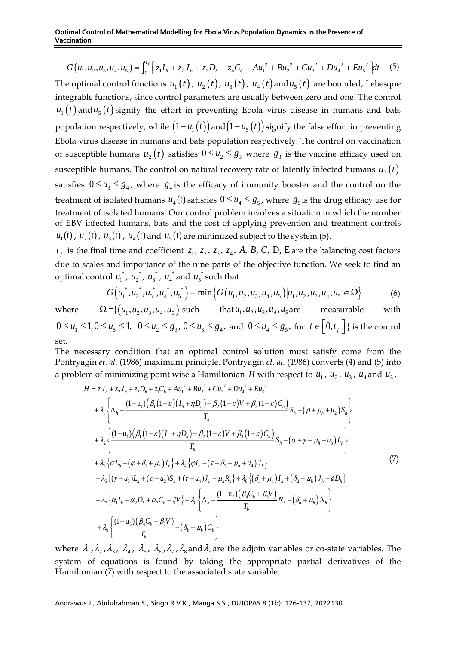$$
G(u_1, u_2, u_3, u_4, u_5) = \int_0^t \left[ z_1 I_h + z_2 J_h + z_3 D_h + z_4 C_b + A u_1^2 + B u_2^2 + C u_3^2 + D u_4^2 + E u_5^2 \right] dt
$$
 (5)

The optimal control functions  $u_1(t)$ ,  $u_2(t)$ ,  $u_3(t)$ ,  $u_4(t)$  and  $u_5(t)$  are bounded, Lebesque integrable functions, since control parameters are usually between zero and one. The control  $u_1(t)$  and  $u_5(t)$  signify the effort in preventing Ebola virus disease in humans and bats population respectively, while  $(1 - u_1(t))$  and  $(1 - u_s(t))$  signify the false effort in preventing Ebola virus disease in humans and bats population respectively. The control on vaccination of susceptible humans  $u_2(t)$  satisfies  $0 \le u_2 \le g_3$  where  $g_3$  is the vaccine efficacy used on susceptible humans. The control on natural recovery rate of latently infected humans  $u_{3}\big(t\big)$ satisfies  $0 \le u_3 \le g_4$ , where  $g_4$  is the efficacy of immunity booster and the control on the treatment of isolated humans  $u_4$  (t) satisfies  $0 \le u_4 \le g_5$ , where  $g_5$  is the drug efficacy use for treatment of isolated humans. Our control problem involves a situation in which the number of EBV infected humans, bats and the cost of applying prevention and treatment controls  $u_1$ (t),  $u_2$ (t),  $u_3$ (t),  $u_4$ (t) and  $u_5$ (t) are minimized subject to the system (5).

 $t_f$  is the final time and coefficient  $z_1$ ,  $z_2$ ,  $z_3$ ,  $z_4$ , A, B, C, D, E are the balancing cost factors due to scales and importance of the nine parts of the objective function. We seek to find an optimal control  $u_1^*$ ,  $u_2^*$ ,  $u_3^*$ ,  $u_4^*$  and  $u_5^*$  such that

$$
G(u_1^*, u_2^*, u_3^*, u_4^*, u_5^*) = \min\left\{G(u_1, u_2, u_3, u_4, u_5)|u_1, u_2, u_3, u_4, u_5 \in \Omega\right\}
$$
(6)

where

 $\Omega = \{ (u_1, u_2, u_3, u_4, u_5) \text{ such that } u_1, u_2, u_3, u_4, u_5 \text{ are measurable with } 1$  $0 \le u_1 \le 1, 0 \le u_5 \le 1$ ,  $0 \le u_2 \le g_3$ ,  $0 \le u_3 \le g_4$ , and  $0 \le u_4 \le g_5$ , for  $t \in [0, t_f]$  is the control set.

The necessary condition that an optimal control solution must satisfy come from the Pontryagin *et. al.* (1986) maximum principle. Pontryagin *et. al.* (1986) converts (4) and (5) into a problem of minimizing point wise a Hamiltonian H with respect to  $u_1$ ,  $u_2$ ,  $u_3$ ,  $u_4$  and  $u_5$ .

$$
H = z_{1}I_{h} + z_{2}J_{h} + z_{3}D_{h} + z_{1}C_{b} + Au_{1}^{2} + Bu_{2}^{2} + Cu_{3}^{2} + Du_{4}^{2} + Eu_{5}^{2}
$$
  
+  $\lambda_{1} \left\{ \Lambda_{h} - \frac{(1 - u_{1})(\beta_{1}(1 - \varepsilon)(I_{h} + \eta D_{h}) + \beta_{2}(1 - \varepsilon)V + \beta_{3}(1 - \varepsilon)C_{b})}{T_{h}} S_{h} - (\rho + \mu_{h} + u_{2})S_{h} \right\}$   
+  $\lambda_{2} \left\{ \frac{(1 - u_{1})(\beta_{1}(1 - \varepsilon)(I_{h} + \eta D_{h}) + \beta_{2}(1 - \varepsilon)V + \beta_{3}(1 - \varepsilon)C_{b})}{T_{h}} S_{h} - (\sigma + \gamma + \mu_{h} + u_{3})L_{h} \right\}$   
+  $\lambda_{3} \left\{ \sigma L_{h} - (\varphi + \delta_{1} + \mu_{h})I_{h} \right\} + \lambda_{4} \left\{ \varphi I_{h} - (\tau + \delta_{2} + \mu_{h} + u_{4})J_{h} \right\}$   
+  $\lambda_{5} \left\{ (\gamma + u_{3})L_{h} + (\rho + u_{2})S_{h} + (\tau + u_{4})J_{h} - \mu_{h}R_{h} \right\} + \lambda_{6} \left\{ (\delta_{1} + \mu_{h})I_{h} + (\delta_{2} + \mu_{h})J_{h} - \varphi D_{h} \right\}$   
+  $\lambda_{7} \left\{ \alpha_{1}I_{h} + \alpha_{2}D_{h} + \alpha_{3}C_{h} - \xi V \right\} + \lambda_{8} \left\{ \Lambda_{h} - \frac{(1 - u_{5})(\beta_{4}C_{h} + \beta_{5}V)}{T_{h}} N_{h} - (\delta_{h} + \mu_{h})N_{h} \right\}$   
+  $\lambda_{9} \left\{ \frac{(1 - u_{5})(\beta_{4}C_{h} + \beta_{5}V)}{T_{h}} - (\delta_{h} + \mu_{h})C_{h} \right\}$ 

where  $\lambda_1, \lambda_2, \lambda_3, \lambda_4, \lambda_5, \lambda_6, \lambda_7, \lambda_8$  and  $\lambda_9$  are the adjoin variables or co-state variables. The system of equations is found by taking the appropriate partial derivatives of the Hamiltonian (7) with respect to the associated state variable.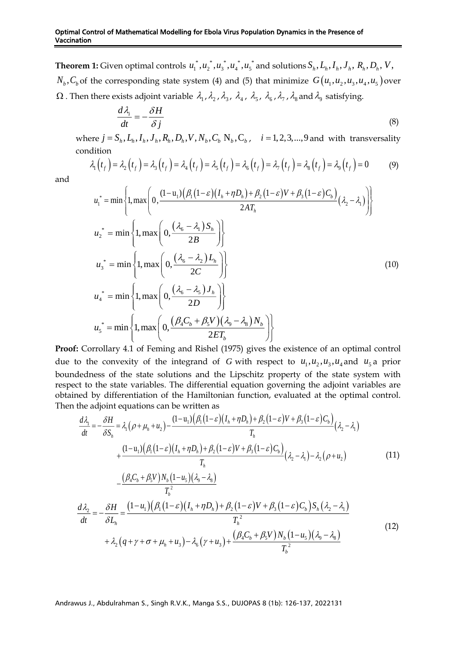**Theorem 1:** Given optimal controls  $u_1^*, u_2^*, u_3^*, u_4^*, u_5^*$  and solutions  $S_h, L_h, I_h, J_h, R_h, D_h, V$ ,  $N_b$ ,  $C_b$  of the corresponding state system (4) and (5) that minimize  $G(u_1, u_2, u_3, u_4, u_5)$  over  $\Omega$  . Then there exists adjoint variable  $\,\lambda_1^{}$  ,  $\lambda_2^{}$  ,  $\lambda_3^{}$  ,  $\,\lambda_4^{}$  ,  $\,\lambda_5^{}$  ,  $\,\lambda_6^{}$  ,  $\lambda_7^{}$  ,  $\lambda_8^{}$  and  $\lambda_9^{}$  satisfying.

$$
\frac{d\lambda_i}{dt} = -\frac{\delta H}{\delta j} \tag{8}
$$

where  $j = S_h, L_h, I_h, J_h, R_h, D_h, V, N_h, C_h, N_h, C_h$ ,  $i = 1, 2, 3, \dots, 9$  and with transversality condition ere  $j = S_h$ ,  $L_h$ ,  $I_h$ ,  $J_h$ ,  $R_h$ ,  $D_h$ ,  $V$ ,  $N_b$ ,  $C_b$ ,  $N_b$ ,  $C_b$ ,  $i = 1, 2, 3, ..., 9$  and with transversality<br>dition<br> $\lambda_1(t_f) = \lambda_2(t_f) = \lambda_3(t_f) = \lambda_4(t_f) = \lambda_5(t_f) = \lambda_6(t_f) = \lambda_7(t_f) = \lambda_8(t_f) = \lambda_9(t_f) = 0$  (9)

$$
\lambda_1(t_f) = \lambda_2(t_f) = \lambda_3(t_f) = \lambda_4(t_f) = \lambda_5(t_f) = \lambda_6(t_f) = \lambda_7(t_f) = \lambda_8(t_f) = \lambda_9(t_f) = 0 \tag{9}
$$

and

$$
u_1^* = \min\left\{1, \max\left(0, \frac{(1-u_1)(\beta_1(1-\varepsilon)(I_h + \eta D_h) + \beta_2(1-\varepsilon)V + \beta_3(1-\varepsilon)C_h)}{2AT_h}\right)(\lambda_2 - \lambda_1)\right\}
$$
  
\n
$$
u_2^* = \min\left\{1, \max\left(0, \frac{(\lambda_6 - \lambda_1)S_h}{2B}\right)\right\}
$$
  
\n
$$
u_3^* = \min\left\{1, \max\left(0, \frac{(\lambda_6 - \lambda_2)L_h}{2C}\right)\right\}
$$
  
\n
$$
u_4^* = \min\left\{1, \max\left(0, \frac{(\lambda_6 - \lambda_3)J_h}{2D}\right)\right\}
$$
  
\n
$$
u_5^* = \min\left\{1, \max\left(0, \frac{(\beta_4C_h + \beta_5V)(\lambda_9 - \lambda_8)N_h}{2ET_h}\right)\right\}
$$
  
\n(10)

**Proof:** Corrollary 4.1 of Feming and Rishel (1975) gives the existence of an optimal control due to the convexity of the integrand of G with respect to  $u_1, u_2, u_3, u_4$  and  $u_5$  a prior boundedness of the state solutions and the Lipschitz property of the state system with respect to the state variables. The differential equation governing the adjoint variables are obtained by differentiation of the Hamiltonian function, evaluated at the optimal control. Then the adjoint equations can be written as

$$
\frac{d\lambda_1}{dt} = -\frac{\delta H}{\delta S_h} = \lambda_1 \left(\rho + \mu_h + u_2\right) - \frac{(1 - u_1)\left(\beta_1\left(1 - \varepsilon\right)\left(I_h + \eta D_h\right) + \beta_2\left(1 - \varepsilon\right)V + \beta_3\left(1 - \varepsilon\right)C_b\right)}{T_h} \left(\lambda_2 - \lambda_1\right) + \frac{(1 - u_1)\left(\beta_1\left(1 - \varepsilon\right)\left(I_h + \eta D_h\right) + \beta_2\left(1 - \varepsilon\right)V + \beta_3\left(1 - \varepsilon\right)C_b\right)}{T_h} \left(\lambda_2 - \lambda_1\right) - \lambda_2\left(\rho + u_2\right) \tag{11}
$$

$$
-\frac{(\beta_4 C_b + \beta_5 V) N_b (1 - u_5)(\lambda_9 - \lambda_8)}{T_b^2}
$$
  
\n
$$
\frac{d\lambda_2}{dt} = -\frac{\delta H}{\delta L_h} = \frac{(1 - u_1)(\beta_1 (1 - \varepsilon)(I_h + \eta D_h) + \beta_2 (1 - \varepsilon)V + \beta_3 (1 - \varepsilon)C_b) S_h (\lambda_2 - \lambda_1)}{T_h^2}
$$
  
\n
$$
+ \lambda_2 (q + \gamma + \sigma + \mu_h + u_3) - \lambda_6 (\gamma + u_3) + \frac{(\beta_4 C_b + \beta_5 V) N_b (1 - u_5)(\lambda_9 - \lambda_8)}{T_b^2}
$$
\n(12)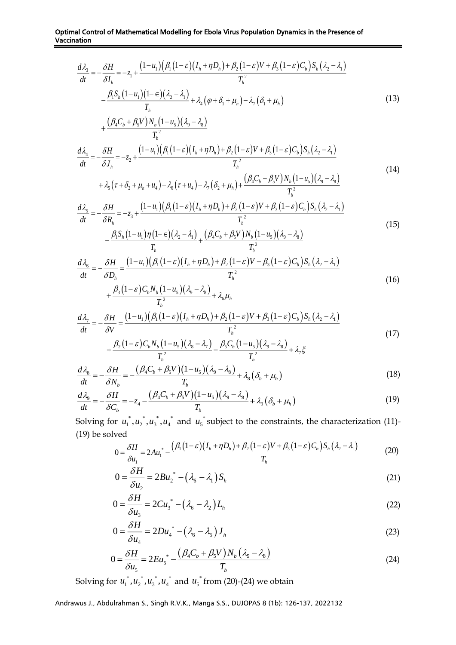$$
\frac{d\lambda_3}{dt} = -\frac{\delta H}{\delta I_h} = -z_1 + \frac{(1 - u_1)(\beta_1(1 - \varepsilon)(I_h + \eta D_h) + \beta_2(1 - \varepsilon)V + \beta_3(1 - \varepsilon)C_h)S_h(\lambda_2 - \lambda_1)}{T_h^2}
$$

$$
-\frac{\beta_1 S_h(1 - u_1)(1 - \varepsilon)(\lambda_2 - \lambda_1)}{T} + \lambda_4(\varphi + \delta_1 + \mu_h) - \lambda_7(\delta_1 + \mu_h)
$$
(13)

$$
T_{h} + \frac{(\beta_{4}C_{b} + \beta_{5}V)N_{b}(1-u_{5})(\lambda_{9} - \lambda_{8})}{T_{b}^{2}}
$$
  
\n
$$
\frac{d\lambda_{4}}{dt} = -\frac{\delta H}{\delta J_{h}} = -z_{2} + \frac{(1-u_{1})(\beta_{1}(1-\varepsilon)(I_{h} + \eta D_{h}) + \beta_{2}(1-\varepsilon)V + \beta_{3}(1-\varepsilon)C_{b})S_{h}(\lambda_{2} - \lambda_{1})}{T_{h}^{2}}
$$
\n(8. C + 8. V) N. (1 - u)(3 - 3) (14)

$$
+ \lambda_5 \left( \tau + \delta_2 + \mu_h + u_4 \right) - \lambda_6 \left( \tau + u_4 \right) - \lambda_7 \left( \delta_2 + \mu_h \right) + \frac{\left( \beta_4 C_b + \beta_5 V \right) N_b \left( 1 - u_5 \right) \left( \lambda_9 - \lambda_8 \right)}{T_b^2}
$$

$$
\frac{d\lambda_{5}}{dt} = -\frac{\delta H}{\delta R_{h}} = -z_{3} + \frac{(1 - u_{1})(\beta_{1}(1 - \varepsilon)(I_{h} + \eta D_{h}) + \beta_{2}(1 - \varepsilon)V + \beta_{3}(1 - \varepsilon)C_{b})S_{h}(\lambda_{2} - \lambda_{1})}{T_{h}^{2}} - \frac{\beta_{1}S_{h}(1 - u_{1})\eta(1 - \varepsilon)(\lambda_{2} - \lambda_{1})}{T_{h}} + \frac{(\beta_{4}C_{b} + \beta_{5}V)N_{b}(1 - u_{5})(\lambda_{9} - \lambda_{8})}{T_{h}^{2}}
$$
\n(15)

 $T_{\rm r}$  and  $T_{\rm r}$  and  $T_{\rm r}$ 

$$
\frac{T_h}{dt} = -\frac{\delta H}{\delta D_h} = \frac{(1 - u_1)(\beta_1(1 - \varepsilon)(I_h + \eta D_h) + \beta_2(1 - \varepsilon)V + \beta_3(1 - \varepsilon)C_b)S_h(\lambda_2 - \lambda_1)}{T_h^2} + \frac{\beta_3(1 - \varepsilon)C_b N_h(1 - u_5)(\lambda_9 - \lambda_8)}{T_h^2} + \lambda_6\mu_h
$$
\n(16)

$$
\frac{d\lambda_7}{dt} = -\frac{\delta H}{\delta V} = \frac{(1 - u_1)(\beta_1(1 - \varepsilon)(I_h + \eta D_h) + \beta_2(1 - \varepsilon)V + \beta_3(1 - \varepsilon)C_h)S_h(\lambda_2 - \lambda_1)}{T_h^2} + \frac{\beta_2(1 - \varepsilon)C_h N_h(1 - u_5)(\lambda_8 - \lambda_7)}{T_h^2} - \frac{\beta_5C_h(1 - u_5)(\lambda_9 - \lambda_8)}{T_h^2} + \lambda_7\xi
$$
\n(17)

$$
\frac{d\lambda_{s}}{dt} = -\frac{\delta H}{\delta N_{b}} = -\frac{(\beta_{4}C_{b} + \beta_{5}V)(1 - u_{5})(\lambda_{9} - \lambda_{8})}{T_{b}} + \lambda_{8}(\delta_{b} + \mu_{b})
$$
\n(18)

$$
\frac{d\lambda_{9}}{dt} = -\frac{\delta H}{\delta C_{b}} = -z_{4} - \frac{(\beta_{4}C_{b} + \beta_{5}V)(1 - u_{5})(\lambda_{9} - \lambda_{8})}{T_{b}} + \lambda_{9}(\delta_{b} + \mu_{h})
$$
(19)

Solving for  $u_1^*, u_2^*, u_3^*, u_4^*$  and  $u_5^*$  subject to the constraints, the characterization (11)-(19) be solved

$$
0 = \frac{\delta H}{\delta u_1} = 2A u_1^* - \frac{\left(\beta_1 (1-\varepsilon)(I_h + \eta D_h) + \beta_2 (1-\varepsilon)V + \beta_3 (1-\varepsilon)C_b\right) S_h (\lambda_2 - \lambda_1)}{T_h} \tag{20}
$$

$$
0 = \frac{\delta H}{\delta u_2} = 2B u_2^* - \left(\lambda_6 - \lambda_1\right) S_h \tag{21}
$$

$$
0 = \frac{\delta H}{\delta u_3} = 2Cu_3^* - \left(\lambda_6 - \lambda_2\right)L_h
$$
\n(22)

$$
0 = \frac{\delta H}{\delta u_4} = 2D u_4^* - (\lambda_6 - \lambda_5) J_h
$$
 (23)

$$
0 = \frac{\delta H}{\delta u_5} = 2E u_5^* - \frac{\left(\beta_4 C_b + \beta_5 V\right) N_b \left(\lambda_9 - \lambda_8\right)}{T_b} \tag{24}
$$

Solving for  $u_1^*, u_2^*, u_3^*, u_4^*$  and  $u_5^*$  from (20)-(24) we obtain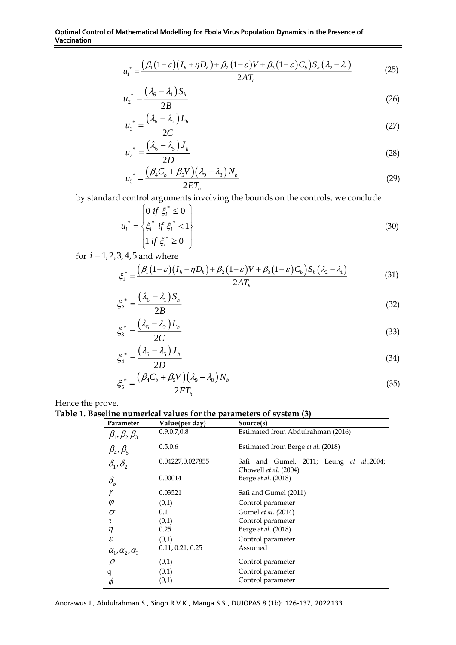$$
u_1^* = \frac{(\beta_1(1-\varepsilon)(I_h + \eta D_h) + \beta_2(1-\varepsilon)V + \beta_3(1-\varepsilon)C_h)S_h(\lambda_2 - \lambda_1)}{2AT_h}
$$
(25)

$$
u_2^* = \frac{(\lambda_6 - \lambda_1)S_h}{2B} \tag{26}
$$

$$
u_3^* = \frac{\left(\lambda_6 - \lambda_2\right)L_h}{2C} \tag{27}
$$

$$
u_4^* = \frac{\left(\lambda_6 - \lambda_5\right)J_h}{2D} \tag{28}
$$

$$
u_s^* = \frac{\left(\beta_4 C_b + \beta_5 V\right)\left(\lambda_9 - \lambda_8\right) N_b}{2 E T_b} \tag{29}
$$

by standard control arguments involving the bounds on the controls, we conclude

$$
u_i^* = \begin{cases} 0 & \text{if } \xi_i^* \le 0 \\ \xi_i^* & \text{if } \xi_i^* < 1 \\ 1 & \text{if } \xi_i^* \ge 0 \end{cases} \tag{30}
$$

for  $i = 1, 2, 3, 4, 5$  and where

$$
\xi_1^* = \frac{\left(\beta_1\left(1-\varepsilon\right)\left(I_h + \eta D_h\right) + \beta_2\left(1-\varepsilon\right)V + \beta_3\left(1-\varepsilon\right)C_b\right)S_h\left(\lambda_2 - \lambda_1\right)}{2AT_h} \tag{31}
$$

$$
\xi_2^* = \frac{\left(\lambda_6 - \lambda_1\right)S_h}{2B} \tag{32}
$$

$$
\xi_3^* = \frac{\left(\lambda_6 - \lambda_2\right)L_h}{2C} \tag{33}
$$

$$
\xi_4^* = \frac{\left(\lambda_6 - \lambda_5\right)J_h}{2D} \tag{34}
$$

$$
\xi_5^* = \frac{\left(\beta_4 C_b + \beta_5 V\right) \left(\lambda_9 - \lambda_8\right) N_b}{2 E T_b} \tag{35}
$$

Hence the prove.

# **Table 1. Baseline numerical values for the parameters of system (3)**

| Parameter                       | Value(per day)   | Source(s)                                                         |
|---------------------------------|------------------|-------------------------------------------------------------------|
| $\beta_1, \beta_2, \beta_3$     | 0.9, 0.7, 0.8    | Estimated from Abdulrahman (2016)                                 |
| $\beta_4, \beta_5$              | 0.5, 0.6         | Estimated from Berge et al. (2018)                                |
| $\delta_1, \delta_2$            | 0.04227,0.027855 | Safi and Gumel, 2011; Leung et al.,2004;<br>Chowell et al. (2004) |
| $\delta_{\scriptscriptstyle b}$ | 0.00014          | Berge et al. (2018)                                               |
| γ                               | 0.03521          | Safi and Gumel (2011)                                             |
| $\varphi$                       | (0,1)            | Control parameter                                                 |
| σ                               | 0.1              | Gumel et al. (2014)                                               |
| τ                               | (0,1)            | Control parameter                                                 |
| η                               | 0.25             | Berge et al. (2018)                                               |
| $\mathcal E$                    | (0,1)            | Control parameter                                                 |
| $\alpha_1, \alpha_2, \alpha_3$  | 0.11, 0.21, 0.25 | Assumed                                                           |
| $\rho$                          | (0,1)            | Control parameter                                                 |
| q                               | (0,1)            | Control parameter                                                 |
| φ                               | (0,1)            | Control parameter                                                 |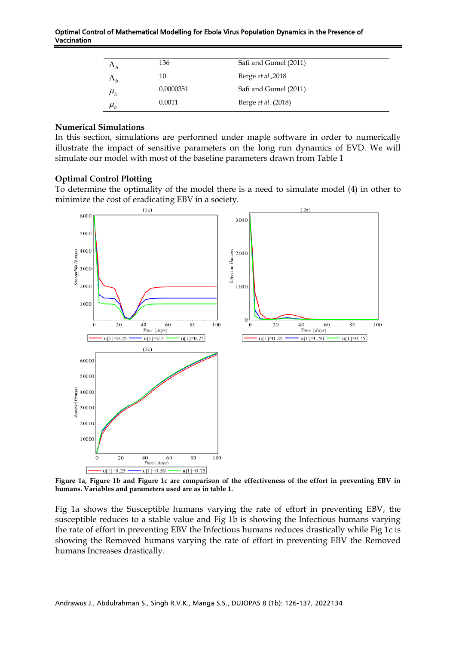| $\Lambda_h$                  | 136       | Safi and Gumel (2011)      |  |
|------------------------------|-----------|----------------------------|--|
| $\Lambda_h$                  | 10        | Berge et al., 2018         |  |
| $\mu_{\scriptscriptstyle h}$ | 0.0000351 | Safi and Gumel (2011)      |  |
| $\mu_{\scriptscriptstyle h}$ | 0.0011    | Berge <i>et al.</i> (2018) |  |

#### **Numerical Simulations**

In this section, simulations are performed under maple software in order to numerically illustrate the impact of sensitive parameters on the long run dynamics of EVD. We will simulate our model with most of the baseline parameters drawn from Table 1

#### **Optimal Control Plotting**

To determine the optimality of the model there is a need to simulate model (4) in other to minimize the cost of eradicating EBV in a society.



**Figure 1a, Figure 1b and Figure 1c are comparison of the effectiveness of the effort in preventing EBV in humans. Variables and parameters used are as in table 1.**

Fig 1a shows the Susceptible humans varying the rate of effort in preventing EBV, the susceptible reduces to a stable value and Fig 1b is showing the Infectious humans varying the rate of effort in preventing EBV the Infectious humans reduces drastically while Fig 1c is showing the Removed humans varying the rate of effort in preventing EBV the Removed humans Increases drastically.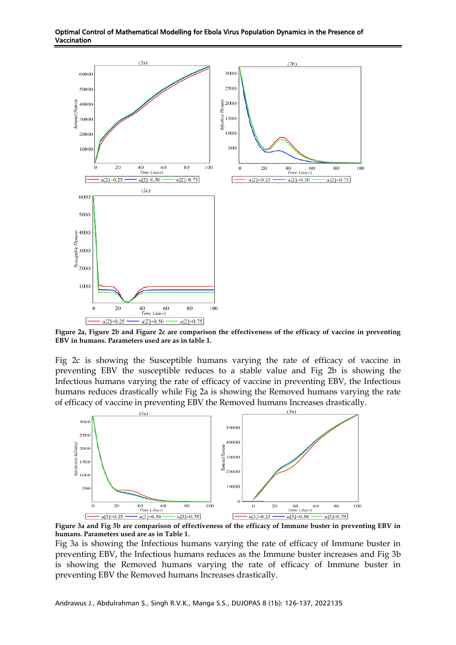



**Figure 2a, Figure 2b and Figure 2c are comparison the effectiveness of the efficacy of vaccine in preventing EBV in humans. Parameters used are as in table 1.**

Fig 2c is showing the Susceptible humans varying the rate of efficacy of vaccine in preventing EBV the susceptible reduces to a stable value and Fig 2b is showing the Infectious humans varying the rate of efficacy of vaccine in preventing EBV, the Infectious humans reduces drastically while Fig 2a is showing the Removed humans varying the rate of efficacy of vaccine in preventing EBV the Removed humans Increases drastically.



**Figure 3a and Fig 3b are comparison of effectiveness of the efficacy of Immune buster in preventing EBV in humans. Parameters used are as in Table 1.**

Fig 3a is showing the Infectious humans varying the rate of efficacy of Immune buster in preventing EBV, the Infectious humans reduces as the Immune buster increases and Fig 3b is showing the Removed humans varying the rate of efficacy of Immune buster in preventing EBV the Removed humans Increases drastically.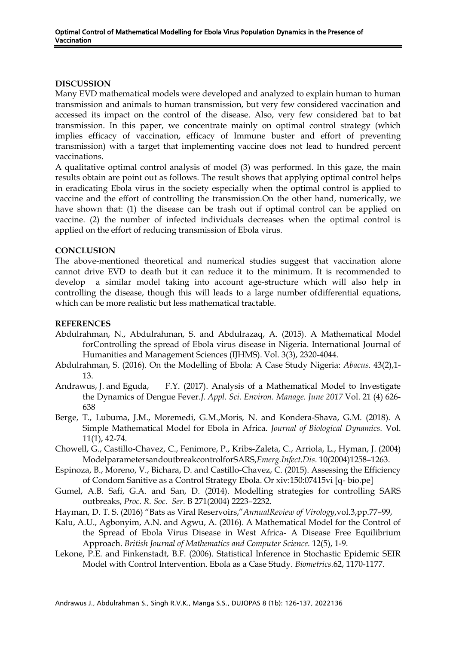### **DISCUSSION**

Many EVD mathematical models were developed and analyzed to explain human to human transmission and animals to human transmission, but very few considered vaccination and accessed its impact on the control of the disease. Also, very few considered bat to bat transmission. In this paper, we concentrate mainly on optimal control strategy (which implies efficacy of vaccination, efficacy of Immune buster and effort of preventing transmission) with a target that implementing vaccine does not lead to hundred percent vaccinations.

A qualitative optimal control analysis of model (3) was performed. In this gaze, the main results obtain are point out as follows. The result shows that applying optimal control helps in eradicating Ebola virus in the society especially when the optimal control is applied to vaccine and the effort of controlling the transmission.On the other hand, numerically, we have shown that: (1) the disease can be trash out if optimal control can be applied on vaccine. (2) the number of infected individuals decreases when the optimal control is applied on the effort of reducing transmission of Ebola virus.

## **CONCLUSION**

The above-mentioned theoretical and numerical studies suggest that vaccination alone cannot drive EVD to death but it can reduce it to the minimum. It is recommended to develop a similar model taking into account age-structure which will also help in controlling the disease, though this will leads to a large number ofdifferential equations, which can be more realistic but less mathematical tractable.

# **REFERENCES**

- Abdulrahman, N., Abdulrahman, S. and Abdulrazaq, A. (2015). A Mathematical Model forControlling the spread of Ebola virus disease in Nigeria. International Journal of Humanities and Management Sciences (IJHMS). Vol. 3(3), 2320-4044.
- Abdulrahman, S. (2016). On the Modelling of Ebola: A Case Study Nigeria: *Abacus.* 43(2),1- 13.
- Andrawus, J. and Eguda, F.Y. (2017). Analysis of a Mathematical Model to Investigate the Dynamics of Dengue Fever.*J. Appl. Sci. Environ. Manage. June 2017* Vol. 21 (4) 626- 638
- Berge, T., Lubuma, J.M., Moremedi, G.M.,Moris, N. and Kondera-Shava, G.M. (2018). A Simple Mathematical Model for Ebola in Africa. *Journal of Biological Dynamics.* Vol. 11(1), 42-74.
- Chowell, G., Castillo-Chavez, C., Fenimore, P., Kribs-Zaleta, C., Arriola, L., Hyman, J. (2004) ModelparametersandoutbreakcontrolforSARS,*Emerg.Infect.Dis*. 10(2004)1258–1263.
- Espinoza, B., Moreno, V., Bichara, D. and Castillo-Chavez, C. (2015). Assessing the Efficiency of Condom Sanitive as a Control Strategy Ebola. Or xiv:150:07415vi [q- bio.pe]
- Gumel, A.B. Safi, G.A. and San, D. (2014). Modelling strategies for controlling SARS outbreaks, *Proc. R. Soc. Ser*. B 271(2004) 2223–2232.
- Hayman, D. T. S. (2016) "Bats as Viral Reservoirs,"*AnnualReview of Virology*,vol.3,pp.77–99,
- Kalu, A.U., Agbonyim, A.N. and Agwu, A. (2016). A Mathematical Model for the Control of the Spread of Ebola Virus Disease in West Africa- A Disease Free Equilibrium Approach. *British Journal of Mathematics and Computer Science.* 12(5), 1-9.
- Lekone, P.E. and Finkenstadt, B.F. (2006). Statistical Inference in Stochastic Epidemic SEIR Model with Control Intervention. Ebola as a Case Study. *Biometrics.*62, 1170-1177.